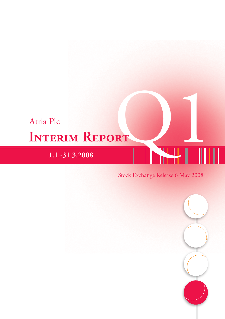# **Interim Report** Atria Plc Atria Plc<br>
INTERIM REPORT<br>
1.1.-31.3.2008<br>
Stock Exchange Release 6 May 2008

## **1.1.-31.3.2008**

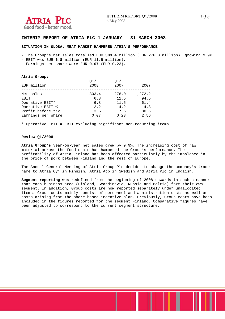

#### **INTERIM REPORT OF ATRIA PLC 1 JANUARY – 31 MARCH 2008**

#### **SITUATION IN GLOBAL MEAT MARKET HAMPERED ATRIA'S PERFORMANCE**

- The Group's net sales totalled EUR **303.4** million (EUR 276.0 million), growing 9.9%

- EBIT was EUR **6.8** million (EUR 11.5 million).

- Earnings per share were EUR **0.07** (EUR 0.23).

#### **Atria Group:**

| EUR million        | 01/<br>2008 | 01/<br>2007 | 2007    |
|--------------------|-------------|-------------|---------|
| Net sales          | 303.4       | 276.0       | 1,272.2 |
| EBIT               | 6.8         | 11.5        | 94.5    |
| Operative EBIT*    | 6.8         | 11.5        | 61.4    |
| Operative EBIT %   | 2.2         | 4.2         | 4.8     |
| Profit before tax  | 3.5         | 7.6         | 80.6    |
| Earnings per share | 0.07        | 0.23        | 2.56    |

\* Operative EBIT = EBIT excluding significant non-recurring items.

#### **Review Q1/2008**

**Atria Group's** year-on-year net sales grew by 9.9%. The increasing cost of raw material across the food chain has hampered the Group's performance. The profitability of Atria Finland has been affected particularly by the imbalance in the price of pork between Finland and the rest of Europe.

The Annual General Meeting of Atria Group Plc decided to change the company's trade name to Atria Oyj in Finnish, Atria Abp in Swedish and Atria Plc in English.

**Segment reporting** was redefined from the beginning of 2008 onwards in such a manner that each business area (Finland, Scandinavia, Russia and Baltic) form their own segment. In addition, Group costs are now reported separately under unallocated items. Group costs mainly consist of personnel and administration costs as well as costs arising from the share-based incentive plan. Previously, Group costs have been included in the figures reported for the segment Finland. Comparative figures have been adjusted to correspond to the current segment structure.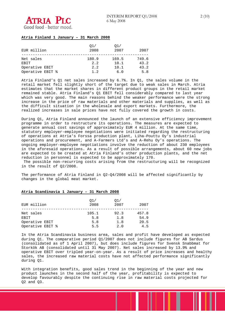

#### **Atria Finland 1 January – 31 March 2008**

| EUR million              | 01/<br>2008  | 01/<br>2007   | 2007          |
|--------------------------|--------------|---------------|---------------|
| Net sales<br><b>EBIT</b> | 180.9<br>2.2 | 169.5<br>10.1 | 749.6<br>43.2 |
| Operative EBIT           | 2.2          | 10.1          | 43.2          |
| Operative EBIT %         | 1.2          | 6.0           | 5.8           |

Atria Finland's Q1 net sales increased by 6.7%. In Q1, the sales volume in the retail market fell slightly short of the target due to weak sales in March. Atria estimates that the market shares in different product groups in the retail market remained stable. Atria Finland's Q1 EBIT fell considerably compared to last year which was very good. The main reasons behind the weaker performance were the strong increase in the price of raw materials and other materials and supplies, as well as the difficult situation in the wholesale and export markets. Furthermore, the realized increases in sale prices have not fully covered the growth in costs.

During Q1, Atria Finland announced the launch of an extensive efficiency improvement programme in order to restructure its operations. The measures are expected to generate annual cost savings of approximately EUR 4 million. At the same time, statutory employer-employee negotiations were initiated regarding the restructuring of operations at Atria's Forssa production plant, Liha-Pouttu Oy's industrial operations and procurement, and A-Farmers Ltd's and A-Rehu Oy's operations. The ongoing employer-employee negotiations involve the reduction of about 230 employees in the aforesaid operations. As a result of possible arrangements, about 60 new jobs are expected to be created at Atria Finland's other production plants, and the net reduction in personnel is expected to be approximately 170.

 The possible non-recurring costs arising from the restructuring will be recognized in the result of Q2/2008.

The performance of Atria Finland in Q2–Q4/2008 will be affected significantly by changes in the global meat market.

#### **Atria Scandinavia 1 January – 31 March 2008**

| EUR million       | O1/<br>2008  | O1/<br>2007 | 2007          |
|-------------------|--------------|-------------|---------------|
| Net sales<br>EBIT | 105.1<br>5.8 | 92.3<br>1.8 | 457.8<br>54.9 |
| Operative EBIT    | 5.8          | 1.8         | 20.5          |
| Operative EBIT %  | 5.5          | 2.0         | 4.5           |

In the Atria Scandinavia business area, sales and profit have developed as expected during Q1. The comparative period Q1/2007 does not include figures for AB Sardus (consolidated as of 1 April 2007), but does include figures for Svensk Snabbmat for Storkök AB (consolidated until 31 May 2007). Net sales increased by 13.9% and operative EBIT over tripled year-on-year. As a result of price increases and healthy sales, the increased raw material costs have not affected performance significantly during Q1.

With integration benefits, good sales trend in the beginning of the year and new product launches in the second half of the year, profitability is expected to develop favourably despite the continuing rise in raw material costs projected for Q2 and Q3.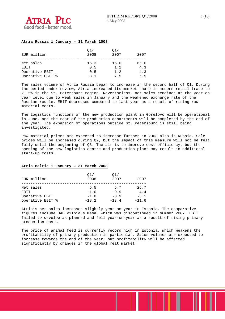

#### **Atria Russia 1 January – 31 March 2008**

| EUR million              | O1/<br>2008 | O1/<br>2007 | 2007        |
|--------------------------|-------------|-------------|-------------|
| Net sales<br><b>EBIT</b> | 16.3<br>0.5 | 16.0<br>1.2 | 65.6<br>4.3 |
| Operative EBIT           | 0.5         | 1.2         | 4.3         |
| Operative EBIT %         | 3 1         | 7.5         | 6.5         |

The sales volume of Atria Russia began to increase in the second half of Q1. During the period under review, Atria increased its market share in modern retail trade to 21.5% in the St. Petersburg region. Nevertheless, net sales remained at the year-onyear level due to weak sales in January and the weakened exchange rate of the Russian rouble. EBIT decreased compared to last year as a result of rising raw material costs.

The logistics functions of the new production plant in Gorelovo will be operational in June, and the rest of the production departments will be completed by the end of the year. The expansion of operations outside St. Petersburg is still being investigated.

Raw material prices are expected to increase further in 2008 also in Russia. Sale prices will be increased during Q2, but the impact of this measure will not be felt fully until the beginning of Q3. The aim is to improve cost efficiency, but the opening of the new logistics centre and production plant may result in additional start-up costs.

#### **Atria Baltic 1 January – 31 March 2008**

| EUR million      | O1/<br>2008 | O1/<br>2007 | 2007    |
|------------------|-------------|-------------|---------|
| Net sales        | 5.5         | 6.7         | 26.7    |
| EBIT             | $-1.0$      | $-0.9$      | $-4.4$  |
| Operative EBIT   | $-1.0$      | $-0.9$      | $-3.1$  |
| Operative EBIT % | $-18.2$     | $-13.4$     | $-11.6$ |

Atria's net sales increased slightly year-on-year in Estonia. The comparative figures include UAB Vilniaus Mesa, which was discontinued in summer 2007. EBIT failed to develop as planned and fell year-on-year as a result of rising primary production costs.

The price of animal feed is currently record high in Estonia, which weakens the profitability of primary production in particular. Sales volumes are expected to increase towards the end of the year, but profitability will be affected significantly by changes in the global meat market.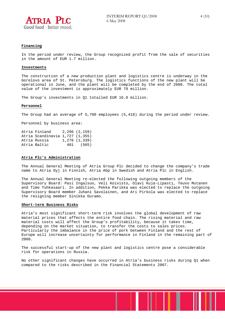

#### **Financing**

In the period under review, the Group recognized profit from the sale of securities in the amount of EUR 1.7 million.

#### **Investments**

The construction of a new production plant and logistics centre is underway in the Gorelovo area of St. Petersburg. The logistics functions of the new plant will be operational in June, and the plant will be completed by the end of 2008. The total value of the investment is approximately EUR 70 million.

The Group's investments in Q1 totalled EUR 16.0 million.

#### **Personnel**

The Group had an average of 5,700 employees (5,418) during the period under review.

Personnel by business area:

Atria Finland 2,296 (2,159) Atria Scandinavia 1,727 (1,355) Atria Russia 1,276 (1,339) Atria Baltic 401 (565)

#### **Atria Plc's Administration**

The Annual General Meeting of Atria Group Plc decided to change the company's trade name to Atria Oyj in Finnish, Atria Abp in Swedish and Atria Plc in English.

The Annual General Meeting re-elected the following outgoing members of the Supervisory Board: Pasi Ingalsuo, Veli Koivisto, Olavi Kuja-Lipasti, Teuvo Mutanen and Timo Tuhkasaari. In addition, Pekka Parikka was elected to replace the outgoing Supervisory Board member Juhani Savolainen, and Ari Pirkola was elected to replace the resigning member Sinikka Ouramo.

#### **Short-term Business Risks**

Atria's most significant short-term risk involves the global development of raw material prices that affects the entire food chain. The rising material and raw material costs will affect the Group's profitability, because it takes time, depending on the market situation, to transfer the costs to sales prices. Particularly the imbalance in the price of pork between Finland and the rest of Europe will increase uncertainty for performance in Finland in the remaining part of 2008.

The successful start-up of the new plant and logistics centre pose a considerable risk for operations in Russia.

No other significant changes have occurred in Atria's business risks during Q1 when compared to the risks described in the Financial Statements 2007.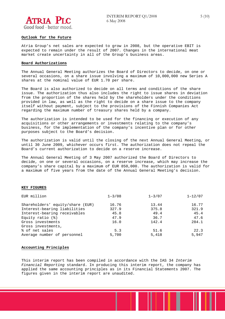

#### **Outlook for the Future**

Atria Group's net sales are expected to grow in 2008, but the operative EBIT is expected to remain under the result of 2007. Changes in the international meat market create uncertainty in all of the Group's business areas.

#### **Board Authorizations**

The Annual General Meeting authorizes the Board of Directors to decide, on one or several occasions, on a share issue involving a maximum of 10,000,000 new Series A shares at the nominal value of EUR 1.70 per share.

The Board is also authorized to decide on all terms and conditions of the share issue. The authorization thus also includes the right to issue shares in deviation from the proportion of the shares held by the shareholders under the conditions provided in law, as well as the right to decide on a share issue to the company itself without payment, subject to the provisions of the Finnish Companies Act regarding the maximum number of treasury shares held by a company.

The authorization is intended to be used for the financing or execution of any acquisitions or other arrangements or investments relating to the company's business, for the implementation of the company's incentive plan or for other purposes subject to the Board's decision.

The authorization is valid until the closing of the next Annual General Meeting, or until 30 June 2009, whichever occurs first. The authorization does not repeal the Board's current authorization to decide on a reserve increase.

The Annual General Meeting of 3 May 2007 authorized the Board of Directors to decide, on one or several occasions, on a reserve increase, which may increase the company's share capital by a maximum of EUR 850,000. The authorization is valid for a maximum of five years from the date of the Annual General Meeting's decision.

#### **KEY FIGURES**

| EUR million                      | $1 - 3/08$ | $1 - 3/07$ | $1 - 12/07$ |
|----------------------------------|------------|------------|-------------|
| Shareholders' equity/share (EUR) | 16.76      | 13.44      | 16.77       |
| Interest-bearing liabilities     | 327.9      | 375.8      | 321.9       |
| Interest-bearing receivables     | 45.8       | 49.4       | 45.4        |
| Equity ratio $(*)$               | 47.9       | 36.7       | 47.6        |
| Gross investments                | 16.0       | 142.4      | 284.1       |
| Gross investments,               |            |            |             |
| % of net sales                   | 5.3        | 51.6       | 22.3        |
| Average number of personnel      | 5,700      | 5,418      | 5,947       |

#### **Accounting Principles**

This interim report has been compiled in accordance with the IAS 34 *Interim Financial Reporting* standard. In producing this interim report, the company has applied the same accounting principles as in its Financial Statements 2007. The figures given in the interim report are unaudited.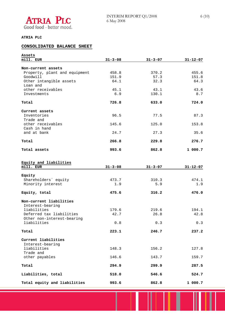

#### **ATRIA PLC**

### **CONSOLIDATED BALANCE SHEET**

| Assets                        |               |               |                |
|-------------------------------|---------------|---------------|----------------|
| mill. EUR                     | $31 - 3 - 08$ | $31 - 3 - 07$ | $31 - 12 - 07$ |
| Non-current assets            |               |               |                |
|                               |               |               | 455.6          |
| Property, plant and equipment | 458.8         | 370.2         |                |
| Goodwill                      | 151.9         | 57.3          | 151.8          |
| Other intangible assets       | 64.1          | 32.3          | 64.3           |
| Loan and                      |               |               |                |
| other receivables             | 45.1          | 43.1          | 43.6           |
| Investments                   | 6.9           | 130.1         | 8.7            |
| Total                         | 726.8         | 633.0         | 724.0          |
| Current assets                |               |               |                |
| Inventories                   | 96.5          | 77.5          | 87.3           |
| Trade and                     |               |               |                |
| other receivables             | 145.6         | 125.0         | 153.8          |
| Cash in hand                  |               |               |                |
|                               |               |               |                |
| and at bank                   | 24.7          | 27.3          | 35.6           |
| Total                         | 266.8         | 229.8         | 276.7          |
| Total assets                  | 993.6         | 862.8         | 1 000.7        |
|                               |               |               |                |
| Equity and liabilities        |               |               |                |
| mill. EUR                     | $31 - 3 - 08$ | $31 - 3 - 07$ | $31 - 12 - 07$ |
| Equity                        |               |               |                |
|                               |               |               |                |
| Shareholders' equity          | 473.7         | 310.3         | 474.1          |
| Minority interest             | 1.9           | 5.9           | 1.9            |
| Equity, total                 | 475.6         | 316.2         | 476.0          |
| Non-current liabilities       |               |               |                |
| Interest-bearing              |               |               |                |
| liabilities                   |               |               |                |
|                               | 179.6         | 219.6         | 194.1          |
| Deferred tax liabilities      | 42.7          | 26.8          | 42.8           |
| Other non-interest-bearing    |               |               |                |
| liabilities                   | 0.8           | 0.3           | 0.3            |
| Total                         | 223.1         | 246.7         | 237.2          |
|                               |               |               |                |
| Current liabilities           |               |               |                |
| Interest-bearing              |               |               |                |
| liabilities                   | 148.3         | 156.2         | 127.8          |
| Trade and                     |               |               |                |
| other payables                | 146.6         | 143.7         | 159.7          |
| Total                         | 294.9         | 299.9         | 287.5          |
|                               |               |               |                |
| Liabilities, total            | 518.0         | 546.6         | 524.7          |
| Total equity and liabilities  | 993.6         | 862.8         | 1000.7         |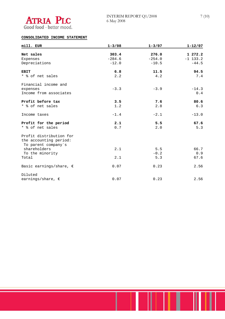

#### **CONSOLIDATED INCOME STATEMENT**

| mill. EUR                                                                | $1 - 3/08$ | $1 - 3/07$ | $1 - 12/07$ |
|--------------------------------------------------------------------------|------------|------------|-------------|
|                                                                          |            |            |             |
| Net sales                                                                | 303.4      | 276.0      | 1 272.2     |
| Expenses                                                                 | $-284.6$   | $-254.0$   | $-1$ 133.2  |
| Depreciations                                                            | $-12.0$    | $-10.5$    | $-44.5$     |
| <b>EBIT</b>                                                              | 6.8        | 11.5       | 94.5        |
| * % of net sales                                                         | 2.2        | 4.2        | 7.4         |
| Financial income and                                                     |            |            |             |
| expenses                                                                 | $-3.3$     | $-3.9$     | $-14.3$     |
| Income from associates                                                   |            |            | 0.4         |
| Profit before tax                                                        | 3.5        | 7.6        | 80.6        |
| * % of net sales                                                         | 1.2        | 2.8        | 6.3         |
| Income taxes                                                             | $-1.4$     | $-2.1$     | $-13.0$     |
| Profit for the period                                                    | 2.1        | 5.5        | 67.6        |
| * % of net sales                                                         | 0.7        | 2.0        | 5.3         |
| Profit distribution for<br>the accounting period:<br>To parent company's |            |            |             |
| shareholders                                                             | 2.1        | 5.5        | 66.7        |
| To the minority                                                          |            | $-0.2$     | 0.9         |
| Total                                                                    | 2.1        | 5.3        | 67.6        |
| Basic earnings/share, $\epsilon$                                         | 0.07       | 0.23       | 2.56        |
| Diluted                                                                  |            |            |             |
| earnings/share, $\epsilon$                                               | 0.07       | 0.23       | 2.56        |

I L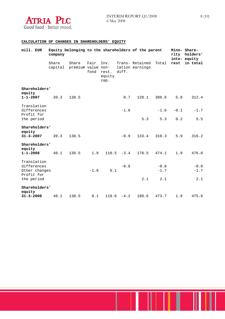

#### **CALCULATION OF CHANGES IN SHAREHOLDERS' EQUITY**

| mill. EUR                                | company |                                     |              |                                 |               | Equity belonging to the shareholders of the parent |        | rity   | Mino- Share-<br>holders'<br>inte- equity |
|------------------------------------------|---------|-------------------------------------|--------------|---------------------------------|---------------|----------------------------------------------------|--------|--------|------------------------------------------|
|                                          | Share   | Share<br>capital premium value non- | Fair<br>fond | Inv.<br>rest.<br>equity<br>cap. | diff.         | Trans- Retained<br>lation earnings                 | Total  | rest   | in total                                 |
| Shareholders'                            |         |                                     |              |                                 |               |                                                    |        |        |                                          |
| equity<br>$1 - 1 - 2007$                 | 39.3    | 138.5                               |              |                                 | 0.7           | 128.1                                              | 306.6  | 5.8    | 312.4                                    |
| Translation<br>differences<br>Profit for |         |                                     |              |                                 | $-1.6$        |                                                    | $-1.6$ | $-0.1$ | $-1.7$                                   |
| the period                               |         |                                     |              |                                 |               | 5.3                                                | 5.3    | 0.2    | 5.5                                      |
| Shareholders'<br>equity                  |         |                                     |              |                                 |               |                                                    |        |        |                                          |
| $31 - 3 - 2007$                          | 39.3    | 138.5                               |              |                                 | $-0.9$        | 133.4                                              | 310.3  | 5.9    | 316.2                                    |
| Shareholders'<br>equity                  |         |                                     |              |                                 |               |                                                    |        |        |                                          |
| $1 - 1 - 2008$                           | 48.1    | 138.5                               | 1.9          |                                 | $110.5 - 3.4$ | 178.5                                              | 474.1  | 1.9    | 476.0                                    |
| Translation<br>differences               |         |                                     |              |                                 | $-0.8$        |                                                    | $-0.8$ |        | $-0.8$                                   |
| Other changes<br>Profit for              |         |                                     | $-1.8$       | 0.1                             |               |                                                    | $-1.7$ |        | $-1.7$                                   |
| the period                               |         |                                     |              |                                 |               | 2.1                                                | 2.1    |        | 2.1                                      |
| Shareholders'<br>equity                  |         |                                     |              |                                 |               |                                                    |        |        |                                          |
| $31 - 3 - 2008$                          | 48.1    | 138.5                               | 0.1          |                                 | $110.6 - 4.2$ | 180.6                                              | 473.7  | 1.9    | 475.6                                    |

T

I

г

F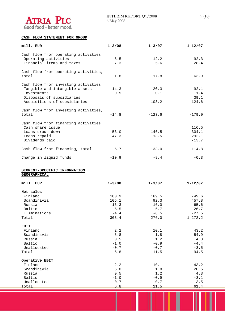

**Operative EBIT** 

#### **CASH FLOW STATEMENT FOR GROUP**

| mill. EUR                                                                                                                                                                                                                  | $1 - 3/08$                                       | $1 - 3/07$                                      | $1 - 12/07$                                              |
|----------------------------------------------------------------------------------------------------------------------------------------------------------------------------------------------------------------------------|--------------------------------------------------|-------------------------------------------------|----------------------------------------------------------|
| Cash flow from operating activities<br>Operating activities<br>Financial items and taxes                                                                                                                                   | 5.5<br>$-7.3$                                    | $-12.2$<br>$-5.6$                               | 92.3<br>$-28.4$                                          |
| Cash flow from operating activities,<br>total                                                                                                                                                                              | $-1.8$                                           | $-17.8$                                         | 63.9                                                     |
| Cash flow from investing activities<br>Tangible and intangible assets<br>Investments<br>Disposals of subsidiaries<br>Acquisitions of subsidiaries                                                                          | $-14.3$<br>$-0.5$                                | $-20.3$<br>$-0.1$<br>$-103.2$                   | $-92.1$<br>$-1.4$<br>39.1<br>$-124.6$                    |
| Cash flow from investing activities,<br>total                                                                                                                                                                              | $-14.8$                                          | $-123.6$                                        | $-179.0$                                                 |
| Cash flow from financing activities<br>Cash share issue<br>Loans drawn down<br>Loans repaid<br>Dividends paid<br>Cash flow from financing, total<br>Change in liquid funds<br>SEGMENT-SPECIFIC INFORMATION<br>GEOGRAPHICAL | 53.0<br>$-47.3$<br>5.7<br>$-10.9$                | 146.5<br>$-13.5$<br>133.0<br>$-8.4$             | 116.5<br>304.1<br>$-292.1$<br>$-13.7$<br>114.8<br>$-0.3$ |
| mill. EUR                                                                                                                                                                                                                  | $1 - 3/08$                                       | $1 - 3/07$                                      | $1 - 12/07$                                              |
| Net sales<br>Finland<br>Scandinavia<br>Russia<br>Baltic<br>Eliminations<br>Total                                                                                                                                           | 180.9<br>105.1<br>16.3<br>5.5<br>$-4.4$<br>303.4 | 169.5<br>92.3<br>16.0<br>6.7<br>$-8.5$<br>276.0 | 749.6<br>457.8<br>65.6<br>26.7<br>$-27.5$<br>1 272.2     |
| <b>EBIT</b><br>Finland<br>Scandinavia<br>Russia                                                                                                                                                                            | 2.2<br>5.8<br>0.5                                | 10.1<br>$1.8\,$<br>1.2                          | 43.2<br>54.9<br>4.3                                      |

 Russia 0.5 1.2 4.3 Baltic  $-1.0$   $-0.9$   $-4.4$ Unallocated -0.7 -0.7 -3.5<br>Total -0.8 11.5 94.5  $Total$  6.8  $11.5$  94.5

Finland 43.2 **10.1** 43.2 Scandinavia 5.8 1.8 20.5 Russia 0.5 1.2 4.3 Baltic  $-1.0$   $-0.9$   $-3.1$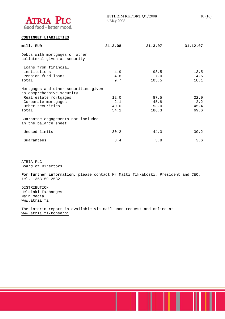

#### **CONTINGET LIABILITIES**

| mill. EUR                                                         | 31.3.08 | 31.3.07 | 31.12.07 |
|-------------------------------------------------------------------|---------|---------|----------|
| Debts with mortgages or other<br>collateral given as security     |         |         |          |
| Loans from financial                                              |         |         |          |
| institutions                                                      | 4.9     | 98.5    | 13.5     |
| Pension fund loans                                                | 4.8     | 7.0     | 4.6      |
| Total                                                             | 9.7     | 105.5   | 18.1     |
| Mortgages and other securities given<br>as comprehensive security |         |         |          |
| Real estate mortgages                                             | 12.0    | 87.5    | 22.0     |
| Corporate mortgages                                               | 2.1     | 45.8    | 2.2      |
| Other securities                                                  | 40.0    | 53.0    | 45.4     |
| Total                                                             | 54.1    | 186.3   | 69.6     |
| Guarantee engagements not included<br>in the balance sheet        |         |         |          |
| Unused limits                                                     | 30.2    | 44.3    | 30.2     |
| Guarantees                                                        | 3.4     | 3.8     | 3.6      |

ATRIA PLC Board of Directors

**For further information**, please contact Mr Matti Tikkakoski, President and CEO, tel. +358 50 2582.

DISTRIBUTION Helsinki Exchanges Main media www.atria.fi

The interim report is available via mail upon request and online at www.atria.fi/konserni.